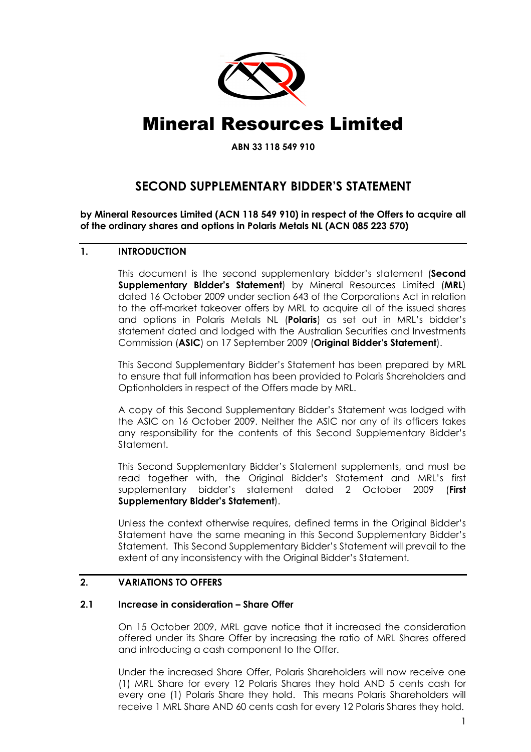

# Mineral Resources Limited

ABN 33 118 549 910

# SECOND SUPPLEMENTARY BIDDER'S STATEMENT

by Mineral Resources Limited (ACN 118 549 910) in respect of the Offers to acquire all of the ordinary shares and options in Polaris Metals NL (ACN 085 223 570)

## 1. INTRODUCTION

This document is the second supplementary bidder's statement (Second Supplementary Bidder's Statement) by Mineral Resources Limited (MRL) dated 16 October 2009 under section 643 of the Corporations Act in relation to the off-market takeover offers by MRL to acquire all of the issued shares and options in Polaris Metals NL (Polaris) as set out in MRL's bidder's statement dated and lodged with the Australian Securities and Investments Commission (ASIC) on 17 September 2009 (Original Bidder's Statement).

This Second Supplementary Bidder's Statement has been prepared by MRL to ensure that full information has been provided to Polaris Shareholders and Optionholders in respect of the Offers made by MRL.

A copy of this Second Supplementary Bidder's Statement was lodged with the ASIC on 16 October 2009. Neither the ASIC nor any of its officers takes any responsibility for the contents of this Second Supplementary Bidder's Statement.

This Second Supplementary Bidder's Statement supplements, and must be read together with, the Original Bidder's Statement and MRL's first supplementary bidder's statement dated 2 October 2009 (First Supplementary Bidder's Statement).

Unless the context otherwise requires, defined terms in the Original Bidder's Statement have the same meaning in this Second Supplementary Bidder's Statement. This Second Supplementary Bidder's Statement will prevail to the extent of any inconsistency with the Original Bidder's Statement.

#### 2. VARIATIONS TO OFFERS

#### 2.1 Increase in consideration – Share Offer

On 15 October 2009, MRL gave notice that it increased the consideration offered under its Share Offer by increasing the ratio of MRL Shares offered and introducing a cash component to the Offer.

Under the increased Share Offer, Polaris Shareholders will now receive one (1) MRL Share for every 12 Polaris Shares they hold AND 5 cents cash for every one (1) Polaris Share they hold. This means Polaris Shareholders will receive 1 MRL Share AND 60 cents cash for every 12 Polaris Shares they hold.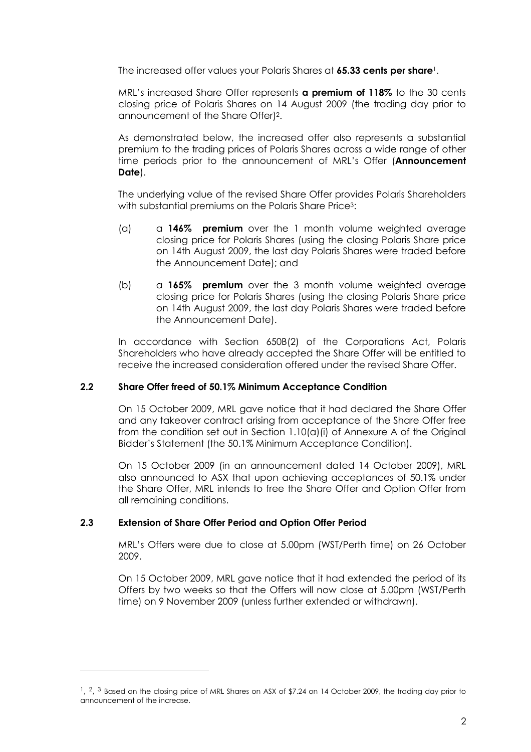The increased offer values your Polaris Shares at **65.33 cents per share**<sup>1</sup>.

MRL's increased Share Offer represents **a premium of 118%** to the 30 cents closing price of Polaris Shares on 14 August 2009 (the trading day prior to announcement of the Share Offer)2.

As demonstrated below, the increased offer also represents a substantial premium to the trading prices of Polaris Shares across a wide range of other time periods prior to the announcement of MRL's Offer (Announcement Date).

The underlying value of the revised Share Offer provides Polaris Shareholders with substantial premiums on the Polaris Share Price<sup>3</sup>:

- (a) a 146% **premium** over the 1 month volume weighted average closing price for Polaris Shares (using the closing Polaris Share price on 14th August 2009, the last day Polaris Shares were traded before the Announcement Date); and
- (b)  $\alpha$  165% **premium** over the 3 month volume weighted average closing price for Polaris Shares (using the closing Polaris Share price on 14th August 2009, the last day Polaris Shares were traded before the Announcement Date).

In accordance with Section 650B(2) of the Corporations Act, Polaris Shareholders who have already accepted the Share Offer will be entitled to receive the increased consideration offered under the revised Share Offer.

#### 2.2 Share Offer freed of 50.1% Minimum Acceptance Condition

On 15 October 2009, MRL gave notice that it had declared the Share Offer and any takeover contract arising from acceptance of the Share Offer free from the condition set out in Section 1.10(a)(i) of Annexure A of the Original Bidder's Statement (the 50.1% Minimum Acceptance Condition).

On 15 October 2009 (in an announcement dated 14 October 2009), MRL also announced to ASX that upon achieving acceptances of 50.1% under the Share Offer, MRL intends to free the Share Offer and Option Offer from all remaining conditions.

#### 2.3 Extension of Share Offer Period and Option Offer Period

 $\overline{a}$ 

MRL's Offers were due to close at 5.00pm (WST/Perth time) on 26 October 2009.

On 15 October 2009, MRL gave notice that it had extended the period of its Offers by two weeks so that the Offers will now close at 5.00pm (WST/Perth time) on 9 November 2009 (unless further extended or withdrawn).

<sup>&</sup>lt;sup>1</sup>, <sup>2</sup>, <sup>3</sup> Based on the closing price of MRL Shares on ASX of \$7.24 on 14 October 2009, the trading day prior to announcement of the increase.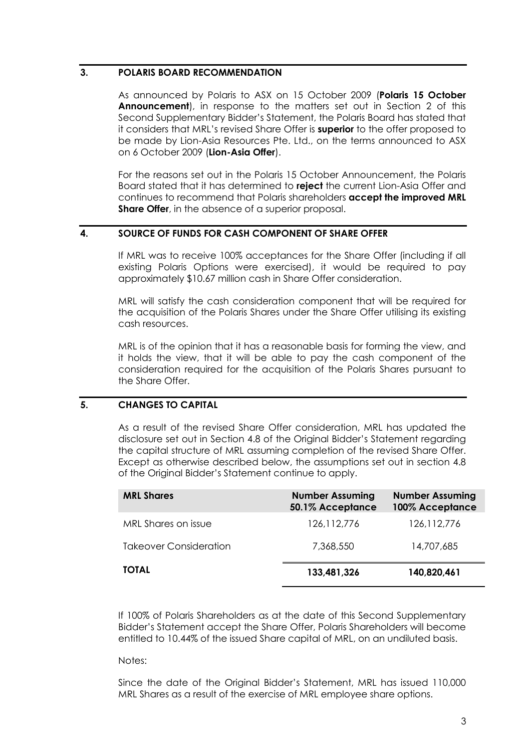#### 3. POLARIS BOARD RECOMMENDATION

As announced by Polaris to ASX on 15 October 2009 (Polaris 15 October Announcement), in response to the matters set out in Section 2 of this Second Supplementary Bidder's Statement, the Polaris Board has stated that it considers that MRL's revised Share Offer is **superior** to the offer proposed to be made by Lion-Asia Resources Pte. Ltd., on the terms announced to ASX on 6 October 2009 (Lion-Asia Offer).

For the reasons set out in the Polaris 15 October Announcement, the Polaris Board stated that it has determined to reject the current Lion-Asia Offer and continues to recommend that Polaris shareholders accept the improved MRL Share Offer, in the absence of a superior proposal.

# 4. SOURCE OF FUNDS FOR CASH COMPONENT OF SHARE OFFER

If MRL was to receive 100% acceptances for the Share Offer (including if all existing Polaris Options were exercised), it would be required to pay approximately \$10.67 million cash in Share Offer consideration.

MRL will satisfy the cash consideration component that will be required for the acquisition of the Polaris Shares under the Share Offer utilising its existing cash resources.

MRL is of the opinion that it has a reasonable basis for forming the view, and it holds the view, that it will be able to pay the cash component of the consideration required for the acquisition of the Polaris Shares pursuant to the Share Offer.

# 5. CHANGES TO CAPITAL

As a result of the revised Share Offer consideration, MRL has updated the disclosure set out in Section 4.8 of the Original Bidder's Statement regarding the capital structure of MRL assuming completion of the revised Share Offer. Except as otherwise described below, the assumptions set out in section 4.8 of the Original Bidder's Statement continue to apply.

| <b>MRL Shares</b>             | <b>Number Assuming</b><br>50.1% Acceptance | <b>Number Assuming</b><br>100% Acceptance |
|-------------------------------|--------------------------------------------|-------------------------------------------|
| MRL Shares on issue           | 126, 112, 776                              | 126, 112, 776                             |
| <b>Takeover Consideration</b> | 7,368,550                                  | 14,707,685                                |
| <b>TOTAL</b>                  | 133,481,326                                | 140,820,461                               |

If 100% of Polaris Shareholders as at the date of this Second Supplementary Bidder's Statement accept the Share Offer, Polaris Shareholders will become entitled to 10.44% of the issued Share capital of MRL, on an undiluted basis.

Notes:

Since the date of the Original Bidder's Statement, MRL has issued 110,000 MRL Shares as a result of the exercise of MRL employee share options.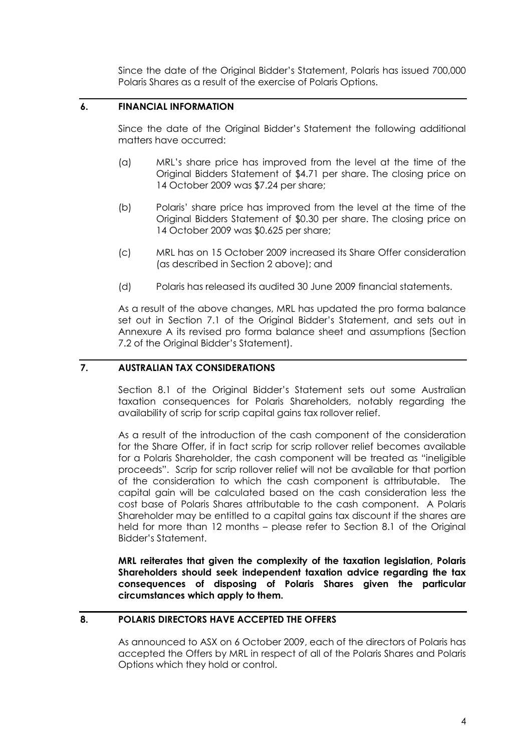Since the date of the Original Bidder's Statement, Polaris has issued 700,000 Polaris Shares as a result of the exercise of Polaris Options.

#### 6. FINANCIAL INFORMATION

Since the date of the Original Bidder's Statement the following additional matters have occurred:

- (a) MRL's share price has improved from the level at the time of the Original Bidders Statement of \$4.71 per share. The closing price on 14 October 2009 was \$7.24 per share;
- (b) Polaris' share price has improved from the level at the time of the Original Bidders Statement of \$0.30 per share. The closing price on 14 October 2009 was \$0.625 per share;
- (c) MRL has on 15 October 2009 increased its Share Offer consideration (as described in Section 2 above); and
- (d) Polaris has released its audited 30 June 2009 financial statements.

As a result of the above changes, MRL has updated the pro forma balance set out in Section 7.1 of the Original Bidder's Statement, and sets out in Annexure A its revised pro forma balance sheet and assumptions (Section 7.2 of the Original Bidder's Statement).

## 7. AUSTRALIAN TAX CONSIDERATIONS

Section 8.1 of the Original Bidder's Statement sets out some Australian taxation consequences for Polaris Shareholders, notably regarding the availability of scrip for scrip capital gains tax rollover relief.

As a result of the introduction of the cash component of the consideration for the Share Offer, if in fact scrip for scrip rollover relief becomes available for a Polaris Shareholder, the cash component will be treated as "ineligible proceeds". Scrip for scrip rollover relief will not be available for that portion of the consideration to which the cash component is attributable. The capital gain will be calculated based on the cash consideration less the cost base of Polaris Shares attributable to the cash component. A Polaris Shareholder may be entitled to a capital gains tax discount if the shares are held for more than 12 months – please refer to Section 8.1 of the Original Bidder's Statement.

MRL reiterates that given the complexity of the taxation legislation, Polaris Shareholders should seek independent taxation advice regarding the tax consequences of disposing of Polaris Shares given the particular circumstances which apply to them.

#### 8. POLARIS DIRECTORS HAVE ACCEPTED THE OFFERS

As announced to ASX on 6 October 2009, each of the directors of Polaris has accepted the Offers by MRL in respect of all of the Polaris Shares and Polaris Options which they hold or control.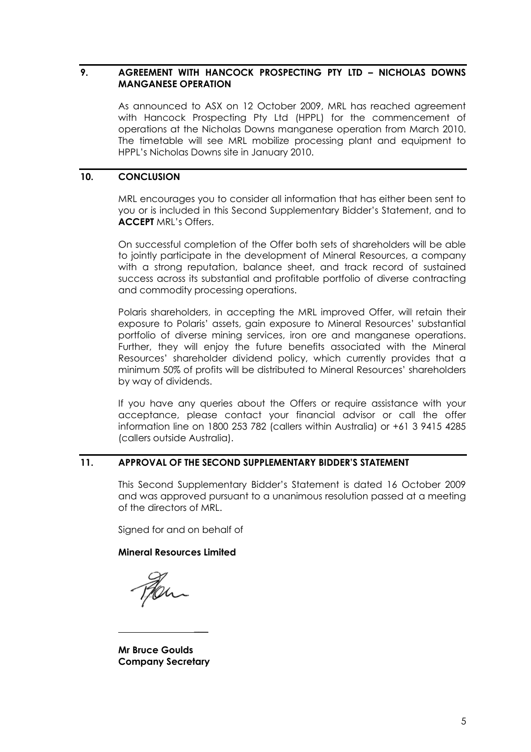#### 9. AGREEMENT WITH HANCOCK PROSPECTING PTY LTD – NICHOLAS DOWNS MANGANESE OPERATION

As announced to ASX on 12 October 2009, MRL has reached agreement with Hancock Prospecting Pty Ltd (HPPL) for the commencement of operations at the Nicholas Downs manganese operation from March 2010. The timetable will see MRL mobilize processing plant and equipment to HPPL's Nicholas Downs site in January 2010.

#### 10. CONCLUSION

MRL encourages you to consider all information that has either been sent to you or is included in this Second Supplementary Bidder's Statement, and to ACCEPT MRL's Offers.

On successful completion of the Offer both sets of shareholders will be able to jointly participate in the development of Mineral Resources, a company with a strong reputation, balance sheet, and track record of sustained success across its substantial and profitable portfolio of diverse contracting and commodity processing operations.

Polaris shareholders, in accepting the MRL improved Offer, will retain their exposure to Polaris' assets, gain exposure to Mineral Resources' substantial portfolio of diverse mining services, iron ore and manganese operations. Further, they will enjoy the future benefits associated with the Mineral Resources' shareholder dividend policy, which currently provides that a minimum 50% of profits will be distributed to Mineral Resources' shareholders by way of dividends.

If you have any queries about the Offers or require assistance with your acceptance, please contact your financial advisor or call the offer information line on 1800 253 782 (callers within Australia) or +61 3 9415 4285 (callers outside Australia).

#### 11. APPROVAL OF THE SECOND SUPPLEMENTARY BIDDER'S STATEMENT

This Second Supplementary Bidder's Statement is dated 16 October 2009 and was approved pursuant to a unanimous resolution passed at a meeting of the directors of MRL.

Signed for and on behalf of

#### Mineral Resources Limited

Then

Mr Bruce Goulds Company Secretary

\_\_\_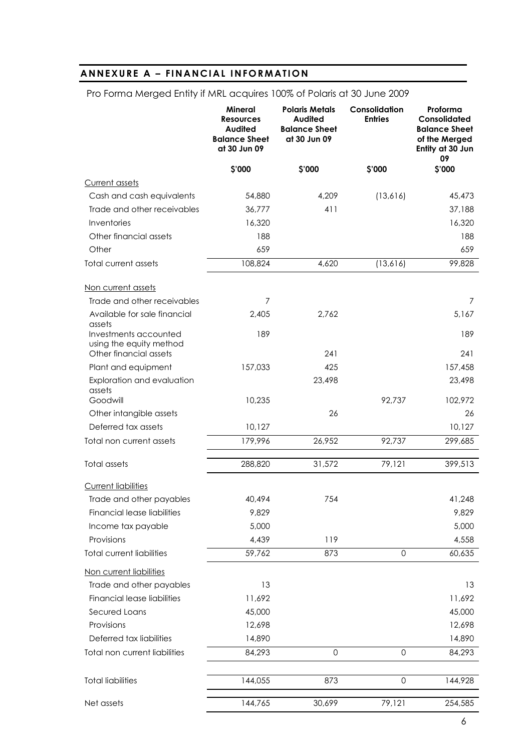# ANNEXURE A - FINANCIAL INFORMATION

|                                                  | <b>Mineral</b><br><b>Resources</b><br>Audited<br><b>Balance Sheet</b><br>at 30 Jun 09 | <b>Polaris Metals</b><br><b>Audited</b><br><b>Balance Sheet</b><br>at 30 Jun 09 | Consolidation<br><b>Entries</b> | Proforma<br>Consolidated<br><b>Balance Sheet</b><br>of the Merged<br>Entity at 30 Jun<br>09 |
|--------------------------------------------------|---------------------------------------------------------------------------------------|---------------------------------------------------------------------------------|---------------------------------|---------------------------------------------------------------------------------------------|
|                                                  | \$'000                                                                                | \$'000                                                                          | \$'000                          | \$'000                                                                                      |
| <b>Current assets</b>                            |                                                                                       |                                                                                 |                                 |                                                                                             |
| Cash and cash equivalents                        | 54,880                                                                                | 4,209                                                                           | (13,616)                        | 45,473                                                                                      |
| Trade and other receivables                      | 36,777                                                                                | 411                                                                             |                                 | 37,188                                                                                      |
| Inventories                                      | 16,320                                                                                |                                                                                 |                                 | 16,320                                                                                      |
| Other financial assets                           | 188                                                                                   |                                                                                 |                                 | 188                                                                                         |
| Other                                            | 659                                                                                   |                                                                                 |                                 | 659                                                                                         |
| Total current assets                             | 108,824                                                                               | 4,620                                                                           | (13, 616)                       | 99,828                                                                                      |
| Non current assets                               |                                                                                       |                                                                                 |                                 |                                                                                             |
| Trade and other receivables                      | 7                                                                                     |                                                                                 |                                 | 7                                                                                           |
| Available for sale financial<br>assets           | 2,405                                                                                 | 2,762                                                                           |                                 | 5,167                                                                                       |
| Investments accounted<br>using the equity method | 189                                                                                   |                                                                                 |                                 | 189                                                                                         |
| Other financial assets                           |                                                                                       | 241                                                                             |                                 | 241                                                                                         |
| Plant and equipment                              | 157,033                                                                               | 425                                                                             |                                 | 157,458                                                                                     |
| Exploration and evaluation<br>assets             |                                                                                       | 23,498                                                                          |                                 | 23,498                                                                                      |
| Goodwill                                         | 10,235                                                                                |                                                                                 | 92,737                          | 102,972                                                                                     |
| Other intangible assets                          |                                                                                       | 26                                                                              |                                 | 26                                                                                          |
| Deferred tax assets                              | 10,127                                                                                |                                                                                 |                                 | 10,127                                                                                      |
| Total non current assets                         | 179,996                                                                               | 26,952                                                                          | 92,737                          | 299,685                                                                                     |
| Total assets                                     | 288,820                                                                               | 31,572                                                                          | 79,121                          | 399,513                                                                                     |
| <b>Current liabilities</b>                       |                                                                                       |                                                                                 |                                 |                                                                                             |
| Trade and other payables                         | 40,494                                                                                | 754                                                                             |                                 | 41,248                                                                                      |
| Financial lease liabilities                      | 9,829                                                                                 |                                                                                 |                                 | 9,829                                                                                       |
| Income tax payable                               | 5,000                                                                                 |                                                                                 |                                 | 5,000                                                                                       |
| Provisions                                       | 4,439                                                                                 | 119                                                                             |                                 | 4,558                                                                                       |
| <b>Total current liabilities</b>                 | 59,762                                                                                | 873                                                                             | $\mathbf 0$                     | 60,635                                                                                      |
| Non current liabilities                          |                                                                                       |                                                                                 |                                 |                                                                                             |
| Trade and other payables                         | 13                                                                                    |                                                                                 |                                 | 13                                                                                          |
| Financial lease liabilities                      | 11,692                                                                                |                                                                                 |                                 | 11,692                                                                                      |
| Secured Loans                                    | 45,000                                                                                |                                                                                 |                                 | 45,000                                                                                      |
| Provisions                                       | 12,698                                                                                |                                                                                 |                                 | 12,698                                                                                      |
| Deferred tax liabilities                         | 14,890                                                                                |                                                                                 |                                 | 14,890                                                                                      |
| Total non current liabilities                    | 84,293                                                                                | $\Omega$                                                                        | $\mathbf 0$                     | 84,293                                                                                      |
| <b>Total liabilities</b>                         | 144,055                                                                               | 873                                                                             | $\mathbf 0$                     | 144,928                                                                                     |
| Net assets                                       | 144,765                                                                               | 30,699                                                                          | 79,121                          | 254,585                                                                                     |

Pro Forma Merged Entity if MRL acquires 100% of Polaris at 30 June 2009